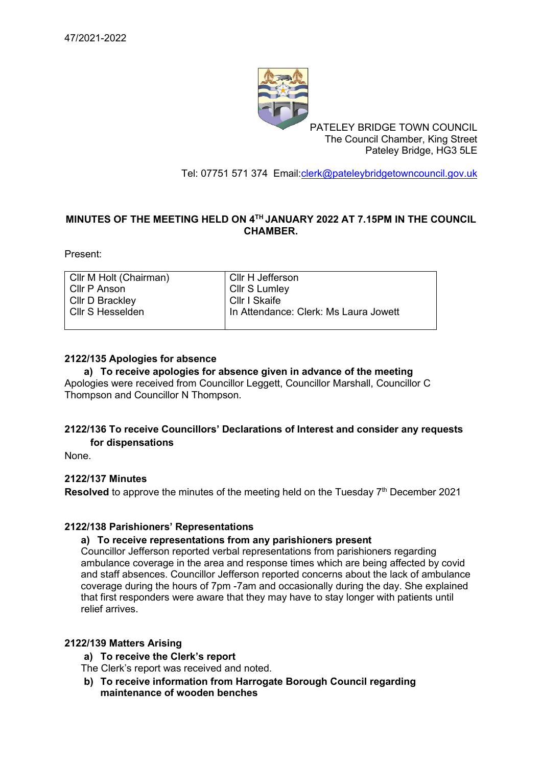

PATELEY BRIDGE TOWN COUNCIL The Council Chamber, King Street Pateley Bridge, HG3 5LE

Tel: 07751 571 374 Email[:clerk@pateleybridgetowncouncil.gov.uk](mailto:clerk@pateleybridgetowncouncil.gov.uk)

## **MINUTES OF THE MEETING HELD ON 4 TH JANUARY 2022 AT 7.15PM IN THE COUNCIL CHAMBER.**

Present:

| Cllr M Holt (Chairman) | Cllr H Jefferson                      |
|------------------------|---------------------------------------|
| l Cllr P Anson         | Cllr S Lumley                         |
| CIIr D Brackley        | Cllr I Skaife                         |
| l Cllr S Hesselden.    | In Attendance: Clerk: Ms Laura Jowett |

### **2122/135 Apologies for absence**

### **a) To receive apologies for absence given in advance of the meeting**

Apologies were received from Councillor Leggett, Councillor Marshall, Councillor C Thompson and Councillor N Thompson.

## **2122/136 To receive Councillors' Declarations of Interest and consider any requests for dispensations**

None.

## **2122/137 Minutes**

Resolved to approve the minutes of the meeting held on the Tuesday 7<sup>th</sup> December 2021

## **2122/138 Parishioners' Representations**

#### **a) To receive representations from any parishioners present**

Councillor Jefferson reported verbal representations from parishioners regarding ambulance coverage in the area and response times which are being affected by covid and staff absences. Councillor Jefferson reported concerns about the lack of ambulance coverage during the hours of 7pm -7am and occasionally during the day. She explained that first responders were aware that they may have to stay longer with patients until relief arrives.

## **2122/139 Matters Arising**

- **a) To receive the Clerk's report**
- The Clerk's report was received and noted.
- **b) To receive information from Harrogate Borough Council regarding maintenance of wooden benches**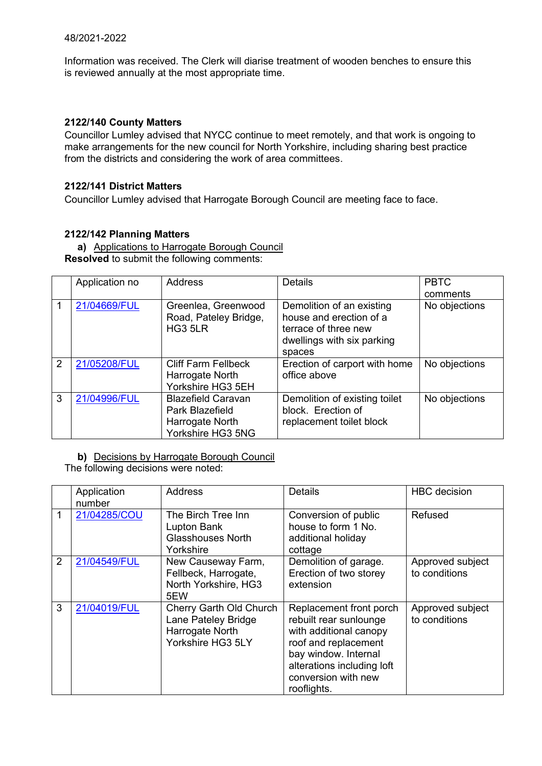Information was received. The Clerk will diarise treatment of wooden benches to ensure this is reviewed annually at the most appropriate time.

### **2122/140 County Matters**

Councillor Lumley advised that NYCC continue to meet remotely, and that work is ongoing to make arrangements for the new council for North Yorkshire, including sharing best practice from the districts and considering the work of area committees.

### **2122/141 District Matters**

Councillor Lumley advised that Harrogate Borough Council are meeting face to face.

## **2122/142 Planning Matters**

**a)** Applications to Harrogate Borough Council **Resolved** to submit the following comments:

|   | Application no | <b>Address</b>                                                                       | <b>Details</b>                                                                                                       | <b>PBTC</b>   |
|---|----------------|--------------------------------------------------------------------------------------|----------------------------------------------------------------------------------------------------------------------|---------------|
|   |                |                                                                                      |                                                                                                                      | comments      |
|   | 21/04669/FUL   | Greenlea, Greenwood<br>Road, Pateley Bridge,<br>HG3 5LR                              | Demolition of an existing<br>house and erection of a<br>terrace of three new<br>dwellings with six parking<br>spaces | No objections |
| 2 | 21/05208/FUL   | <b>Cliff Farm Fellbeck</b><br>Harrogate North<br>Yorkshire HG3 5EH                   | Erection of carport with home<br>office above                                                                        | No objections |
| 3 | 21/04996/FUL   | <b>Blazefield Caravan</b><br>Park Blazefield<br>Harrogate North<br>Yorkshire HG3 5NG | Demolition of existing toilet<br>block. Erection of<br>replacement toilet block                                      | No objections |

**b)** Decisions by Harrogate Borough Council

The following decisions were noted:

|   | Application<br>number | <b>Address</b>                                                                         | <b>Details</b>                                                                                                                                                                                  | <b>HBC</b> decision               |
|---|-----------------------|----------------------------------------------------------------------------------------|-------------------------------------------------------------------------------------------------------------------------------------------------------------------------------------------------|-----------------------------------|
|   | 21/04285/COU          | The Birch Tree Inn<br>Lupton Bank<br><b>Glasshouses North</b><br>Yorkshire             | Conversion of public<br>house to form 1 No.<br>additional holiday<br>cottage                                                                                                                    | Refused                           |
| 2 | 21/04549/FUL          | New Causeway Farm,<br>Fellbeck, Harrogate,<br>North Yorkshire, HG3<br>5EW              | Demolition of garage.<br>Erection of two storey<br>extension                                                                                                                                    | Approved subject<br>to conditions |
| 3 | 21/04019/FUL          | Cherry Garth Old Church<br>Lane Pateley Bridge<br>Harrogate North<br>Yorkshire HG3 5LY | Replacement front porch<br>rebuilt rear sunlounge<br>with additional canopy<br>roof and replacement<br>bay window. Internal<br>alterations including loft<br>conversion with new<br>rooflights. | Approved subject<br>to conditions |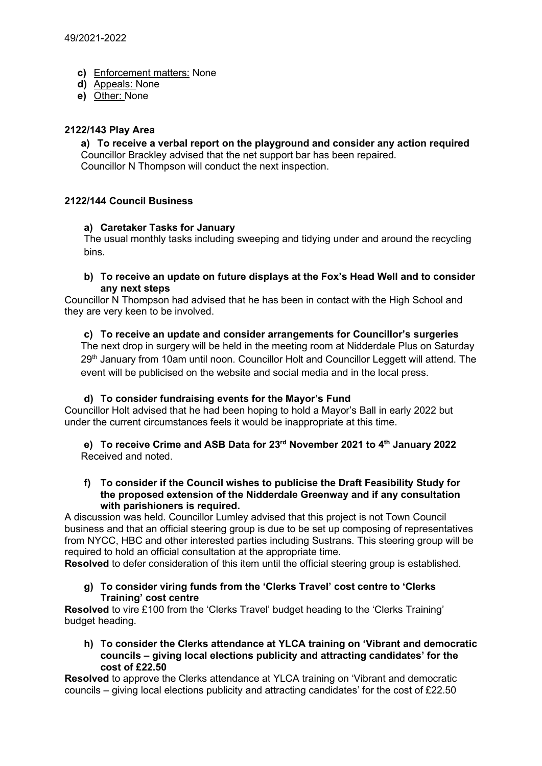- **c)** Enforcement matters: None
- **d)** Appeals: None
- **e)** Other: None

### **2122/143 Play Area**

**a) To receive a verbal report on the playground and consider any action required** Councillor Brackley advised that the net support bar has been repaired. Councillor N Thompson will conduct the next inspection.

## **2122/144 Council Business**

### **a) Caretaker Tasks for January**

The usual monthly tasks including sweeping and tidying under and around the recycling bins.

**b) To receive an update on future displays at the Fox's Head Well and to consider any next steps**

Councillor N Thompson had advised that he has been in contact with the High School and they are very keen to be involved.

#### **c) To receive an update and consider arrangements for Councillor's surgeries**

The next drop in surgery will be held in the meeting room at Nidderdale Plus on Saturday 29<sup>th</sup> January from 10am until noon. Councillor Holt and Councillor Leggett will attend. The event will be publicised on the website and social media and in the local press.

#### **d) To consider fundraising events for the Mayor's Fund**

Councillor Holt advised that he had been hoping to hold a Mayor's Ball in early 2022 but under the current circumstances feels it would be inappropriate at this time.

**e) To receive Crime and ASB Data for 23rd November 2021 to 4 th January 2022** Received and noted.

#### **f) To consider if the Council wishes to publicise the Draft Feasibility Study for the proposed extension of the Nidderdale Greenway and if any consultation with parishioners is required.**

A discussion was held. Councillor Lumley advised that this project is not Town Council business and that an official steering group is due to be set up composing of representatives from NYCC, HBC and other interested parties including Sustrans. This steering group will be required to hold an official consultation at the appropriate time.

**Resolved** to defer consideration of this item until the official steering group is established.

**g) To consider viring funds from the 'Clerks Travel' cost centre to 'Clerks Training' cost centre**

**Resolved** to vire £100 from the 'Clerks Travel' budget heading to the 'Clerks Training' budget heading.

**h) To consider the Clerks attendance at YLCA training on 'Vibrant and democratic councils – giving local elections publicity and attracting candidates' for the cost of £22.50** 

**Resolved** to approve the Clerks attendance at YLCA training on 'Vibrant and democratic councils – giving local elections publicity and attracting candidates' for the cost of £22.50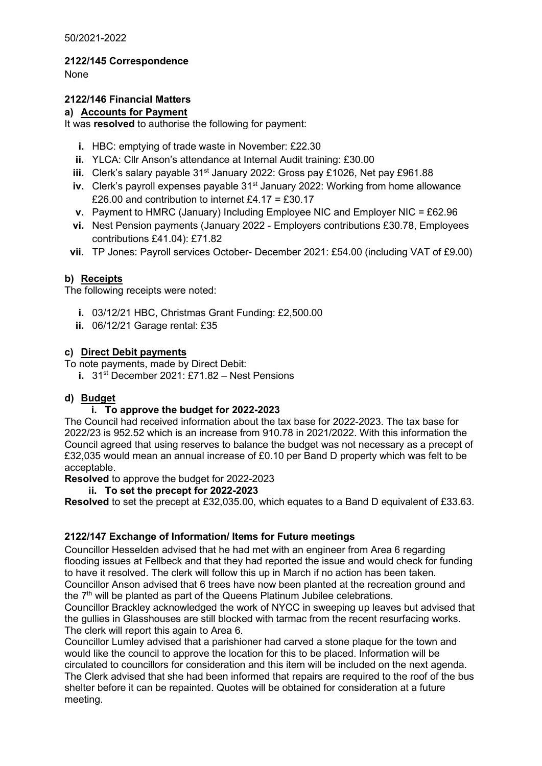50/2021-2022

**2122/145 Correspondence**

None

# **2122/146 Financial Matters**

# **a) Accounts for Payment**

It was **resolved** to authorise the following for payment:

- **i.** HBC: emptying of trade waste in November: £22.30
- **ii.** YLCA: Cllr Anson's attendance at Internal Audit training: £30.00
- iii. Clerk's salary payable 31<sup>st</sup> January 2022: Gross pay £1026, Net pay £961.88
- **iv.** Clerk's payroll expenses payable 31<sup>st</sup> January 2022: Working from home allowance £26.00 and contribution to internet £4.17 = £30.17
- **v.** Payment to HMRC (January) Including Employee NIC and Employer NIC = £62.96
- **vi.** Nest Pension payments (January 2022 Employers contributions £30.78, Employees contributions £41.04): £71.82

**vii.** TP Jones: Payroll services October- December 2021: £54.00 (including VAT of £9.00)

# **b) Receipts**

The following receipts were noted:

- **i.** 03/12/21 HBC, Christmas Grant Funding: £2,500.00
- **ii.** 06/12/21 Garage rental: £35

## **c) Direct Debit payments**

To note payments, made by Direct Debit:

**i.** 31st December 2021: £71.82 – Nest Pensions

# **d) Budget**

# **i. To approve the budget for 2022-2023**

The Council had received information about the tax base for 2022-2023. The tax base for 2022/23 is 952.52 which is an increase from 910.78 in 2021/2022. With this information the Council agreed that using reserves to balance the budget was not necessary as a precept of £32,035 would mean an annual increase of £0.10 per Band D property which was felt to be acceptable.

**Resolved** to approve the budget for 2022-2023

## **ii. To set the precept for 2022-2023**

**Resolved** to set the precept at £32,035.00, which equates to a Band D equivalent of £33.63.

# **2122/147 Exchange of Information/ Items for Future meetings**

Councillor Hesselden advised that he had met with an engineer from Area 6 regarding flooding issues at Fellbeck and that they had reported the issue and would check for funding to have it resolved. The clerk will follow this up in March if no action has been taken. Councillor Anson advised that 6 trees have now been planted at the recreation ground and the 7<sup>th</sup> will be planted as part of the Queens Platinum Jubilee celebrations.

Councillor Brackley acknowledged the work of NYCC in sweeping up leaves but advised that the gullies in Glasshouses are still blocked with tarmac from the recent resurfacing works. The clerk will report this again to Area 6.

Councillor Lumley advised that a parishioner had carved a stone plaque for the town and would like the council to approve the location for this to be placed. Information will be circulated to councillors for consideration and this item will be included on the next agenda. The Clerk advised that she had been informed that repairs are required to the roof of the bus shelter before it can be repainted. Quotes will be obtained for consideration at a future meeting.